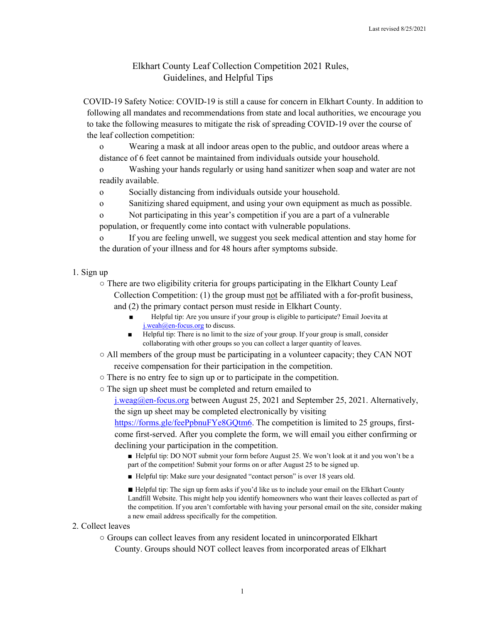## Elkhart County Leaf Collection Competition 2021 Rules, Guidelines, and Helpful Tips

 COVID-19 Safety Notice: COVID-19 is still a cause for concern in Elkhart County. In addition to following all mandates and recommendations from state and local authorities, we encourage you to take the following measures to mitigate the risk of spreading COVID-19 over the course of the leaf collection competition:

o Wearing a mask at all indoor areas open to the public, and outdoor areas where a distance of 6 feet cannot be maintained from individuals outside your household.

o Washing your hands regularly or using hand sanitizer when soap and water are not readily available.

o Socially distancing from individuals outside your household.

o Sanitizing shared equipment, and using your own equipment as much as possible.

o Not participating in this year's competition if you are a part of a vulnerable population, or frequently come into contact with vulnerable populations.

o If you are feeling unwell, we suggest you seek medical attention and stay home for the duration of your illness and for 48 hours after symptoms subside.

1. Sign up

○ There are two eligibility criteria for groups participating in the Elkhart County Leaf Collection Competition: (1) the group must not be affiliated with a for-profit business, and (2) the primary contact person must reside in Elkhart County.

- Helpful tip: Are you unsure if your group is eligible to participate? Email Joevita at j.weah@en-focus.org to discuss.
- Helpful tip: There is no limit to the size of your group. If your group is small, consider collaborating with other groups so you can collect a larger quantity of leaves.
- All members of the group must be participating in a volunteer capacity; they CAN NOT receive compensation for their participation in the competition.
- There is no entry fee to sign up or to participate in the competition.
- The sign up sheet must be completed and return emailed to

j.weag@en-focus.org between August 25, 2021 and September 25, 2021. Alternatively, the sign up sheet may be completed electronically by visiting

https://forms.gle/feePpbnuFYe8GQtm6. The competition is limited to 25 groups, firstcome first-served. After you complete the form, we will email you either confirming or declining your participation in the competition.

■ Helpful tip: DO NOT submit your form before August 25. We won't look at it and you won't be a part of the competition! Submit your forms on or after August 25 to be signed up.

■ Helpful tip: Make sure your designated "contact person" is over 18 years old.

■ Helpful tip: The sign up form asks if you'd like us to include your email on the Elkhart County Landfill Website. This might help you identify homeowners who want their leaves collected as part of the competition. If you aren't comfortable with having your personal email on the site, consider making a new email address specifically for the competition.

## 2. Collect leaves

○ Groups can collect leaves from any resident located in unincorporated Elkhart County. Groups should NOT collect leaves from incorporated areas of Elkhart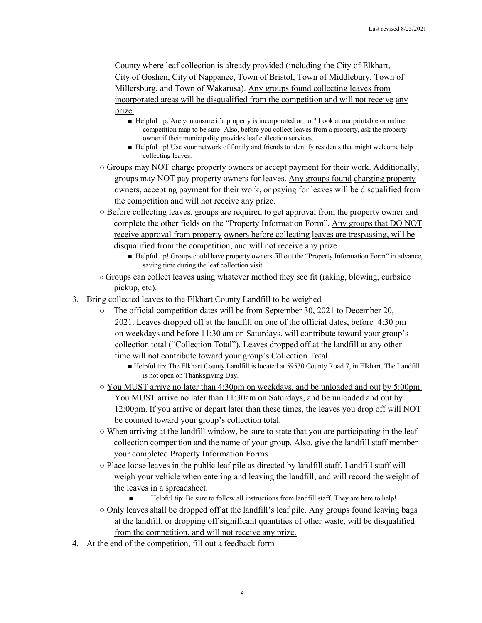County where leaf collection is already provided (including the City of Elkhart, City of Goshen, City of Nappanee, Town of Bristol, Town of Middlebury, Town of Millersburg, and Town of Wakarusa). Any groups found collecting leaves from incorporated areas will be disqualified from the competition and will not receive any prize.

- Helpful tip: Are you unsure if a property is incorporated or not? Look at our printable or online competition map to be sure! Also, before you collect leaves from a property, ask the property owner if their municipality provides leaf collection services.
- Helpful tip! Use your network of family and friends to identify residents that might welcome help collecting leaves.
- Groups may NOT charge property owners or accept payment for their work. Additionally, groups may NOT pay property owners for leaves. Any groups found charging property owners, accepting payment for their work, or paying for leaves will be disqualified from the competition and will not receive any prize.
- Before collecting leaves, groups are required to get approval from the property owner and complete the other fields on the "Property Information Form". Any groups that DO NOT receive approval from property owners before collecting leaves are trespassing, will be disqualified from the competition, and will not receive any prize.
	- Helpful tip! Groups could have property owners fill out the "Property Information Form" in advance, saving time during the leaf collection visit.
- Groups can collect leaves using whatever method they see fit (raking, blowing, curbside pickup, etc).
- 3. Bring collected leaves to the Elkhart County Landfill to be weighed
	- The official competition dates will be from September 30, 2021 to December 20, 2021. Leaves dropped off at the landfill on one of the official dates, before 4:30 pm on weekdays and before 11:30 am on Saturdays, will contribute toward your group's collection total ("Collection Total"). Leaves dropped off at the landfill at any other time will not contribute toward your group's Collection Total.
		- Helpful tip: The Elkhart County Landfill is located at 59530 County Road 7, in Elkhart. The Landfill is not open on Thanksgiving Day.
	- $\circ$  You MUST arrive no later than 4:30pm on weekdays, and be unloaded and out by 5:00pm. You MUST arrive no later than 11:30am on Saturdays, and be unloaded and out by 12:00pm. If you arrive or depart later than these times, the leaves you drop off will NOT be counted toward your group's collection total.
	- $\circ$  When arriving at the landfill window, be sure to state that you are participating in the leaf collection competition and the name of your group. Also, give the landfill staff member your completed Property Information Forms.
	- $\circ$  Place loose leaves in the public leaf pile as directed by landfill staff. Landfill staff will weigh your vehicle when entering and leaving the landfill, and will record the weight of the leaves in a spreadsheet.
		- Helpful tip: Be sure to follow all instructions from landfill staff. They are here to help!
	- Only leaves shall be dropped off at the landfill's leaf pile. Any groups found leaving bags at the landfill, or dropping off significant quantities of other waste, will be disqualified from the competition, and will not receive any prize.
- 4. At the end of the competition, fill out a feedback form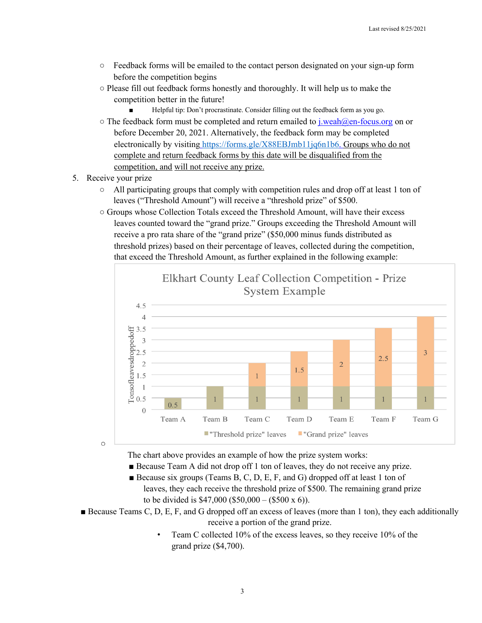- Feedback forms will be emailed to the contact person designated on your sign-up form before the competition begins
- Please fill out feedback forms honestly and thoroughly. It will help us to make the competition better in the future!
	- Helpful tip: Don't procrastinate. Consider filling out the feedback form as you go.
- $\circ$  The feedback form must be completed and return emailed to j.weah@en-focus.org on or before December 20, 2021. Alternatively, the feedback form may be completed electronically by visiting https://forms.gle/X88EBJmb11jq6n1b6. Groups who do not complete and return feedback forms by this date will be disqualified from the competition, and will not receive any prize.
- 5. Receive your prize
	- All participating groups that comply with competition rules and drop off at least 1 ton of leaves ("Threshold Amount") will receive a "threshold prize" of \$500.
	- Groups whose Collection Totals exceed the Threshold Amount, will have their excess leaves counted toward the "grand prize." Groups exceeding the Threshold Amount will receive a pro rata share of the "grand prize" (\$50,000 minus funds distributed as threshold prizes) based on their percentage of leaves, collected during the competition, that exceed the Threshold Amount, as further explained in the following example:



 $\circ$ 

The chart above provides an example of how the prize system works:

- Because Team A did not drop of f 1 ton of leaves, they do not receive any prize.
- **■** Because six groups (Teams B, C, D, E, F, and G) dropped off at least 1 ton of leaves, they each receive the threshold prize of \$500. The remaining grand prize to be divided is  $$47,000$  (\$50,000 – (\$500 x 6)).
- Because Teams C, D, E, F, and G dropped off an excess of leaves (more than 1 ton), they each additionally receive a portion of the grand prize.
	- Team C collected 10% of the excess leaves, so they receive 10% of the grand prize (\$4,700).